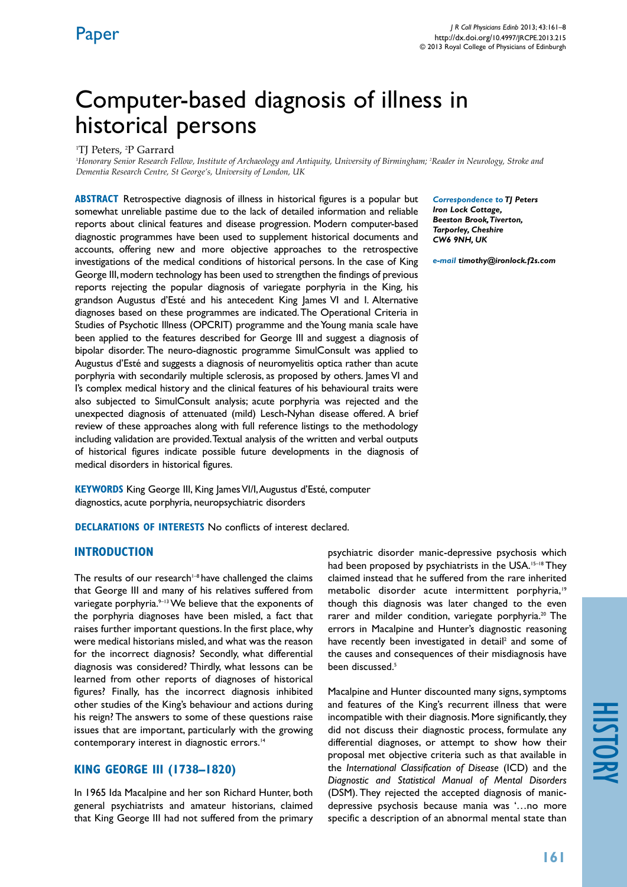## Computer-based diagnosis of illness in historical persons

<sup>1</sup>TJ Peters, <sup>2</sup>P Garrard

*1 Honorary Senior Research Fellow, Institute of Archaeology and Antiquity, University of Birmingham; 2 Reader in Neurology, Stroke and Dementia Research Centre, St George's, University of London, UK*

**ABSTRACT** Retrospective diagnosis of illness in historical figures is a popular but somewhat unreliable pastime due to the lack of detailed information and reliable reports about clinical features and disease progression. Modern computer-based diagnostic programmes have been used to supplement historical documents and accounts, offering new and more objective approaches to the retrospective investigations of the medical conditions of historical persons. In the case of King George III, modern technology has been used to strengthen the findings of previous reports rejecting the popular diagnosis of variegate porphyria in the King, his grandson Augustus d'Esté and his antecedent King James VI and I. Alternative diagnoses based on these programmes are indicated. The Operational Criteria in Studies of Psychotic Illness (OPCRIT) programme and the Young mania scale have been applied to the features described for George III and suggest a diagnosis of bipolar disorder. The neuro-diagnostic programme SimulConsult was applied to Augustus d'Esté and suggests a diagnosis of neuromyelitis optica rather than acute porphyria with secondarily multiple sclerosis, as proposed by others. James VI and I's complex medical history and the clinical features of his behavioural traits were also subjected to SimulConsult analysis; acute porphyria was rejected and the unexpected diagnosis of attenuated (mild) Lesch-Nyhan disease offered. A brief review of these approaches along with full reference listings to the methodology including validation are provided. Textual analysis of the written and verbal outputs of historical figures indicate possible future developments in the diagnosis of medical disorders in historical figures.

**Keywords** King George III, King James VI/I, Augustus d'Esté, computer diagnostics, acute porphyria, neuropsychiatric disorders

**DECLARATIONS OF INTERESTS** No conflicts of interest declared.

## **INTRODUCTION**

The results of our research $1-8$  have challenged the claims that George III and many of his relatives suffered from variegate porphyria.<sup>9-13</sup> We believe that the exponents of the porphyria diagnoses have been misled, a fact that raises further important questions. In the first place, why were medical historians misled, and what was the reason for the incorrect diagnosis? Secondly, what differential diagnosis was considered? Thirdly, what lessons can be learned from other reports of diagnoses of historical figures? Finally, has the incorrect diagnosis inhibited other studies of the King's behaviour and actions during his reign? The answers to some of these questions raise issues that are important, particularly with the growing contemporary interest in diagnostic errors.<sup>14</sup>

## **KING GEORGE III (1738–1820)**

In 1965 Ida Macalpine and her son Richard Hunter, both general psychiatrists and amateur historians, claimed that King George III had not suffered from the primary *Correspondence to TJ Peters Iron Lock Cottage, Beeston Brook, Tiverton, Tarporley, Cheshire CW6 9NH, UK*

*e-mail timothy@ironlock.f2s.com*

psychiatric disorder manic-depressive psychosis which had been proposed by psychiatrists in the USA.<sup>15-18</sup> They claimed instead that he suffered from the rare inherited metabolic disorder acute intermittent porphyria,<sup>19</sup> though this diagnosis was later changed to the even rarer and milder condition, variegate porphyria.<sup>20</sup> The errors in Macalpine and Hunter's diagnostic reasoning have recently been investigated in detail<sup>2</sup> and some of the causes and consequences of their misdiagnosis have been discussed.<sup>5</sup>

Macalpine and Hunter discounted many signs, symptoms and features of the King's recurrent illness that were incompatible with their diagnosis. More significantly, they did not discuss their diagnostic process, formulate any differential diagnoses, or attempt to show how their proposal met objective criteria such as that available in the *International Classification of Disease* (ICD) and the *Diagnostic and Statistical Manual of Mental Disorders*  (DSM). They rejected the accepted diagnosis of manicdepressive psychosis because mania was '…no more specific a description of an abnormal mental state than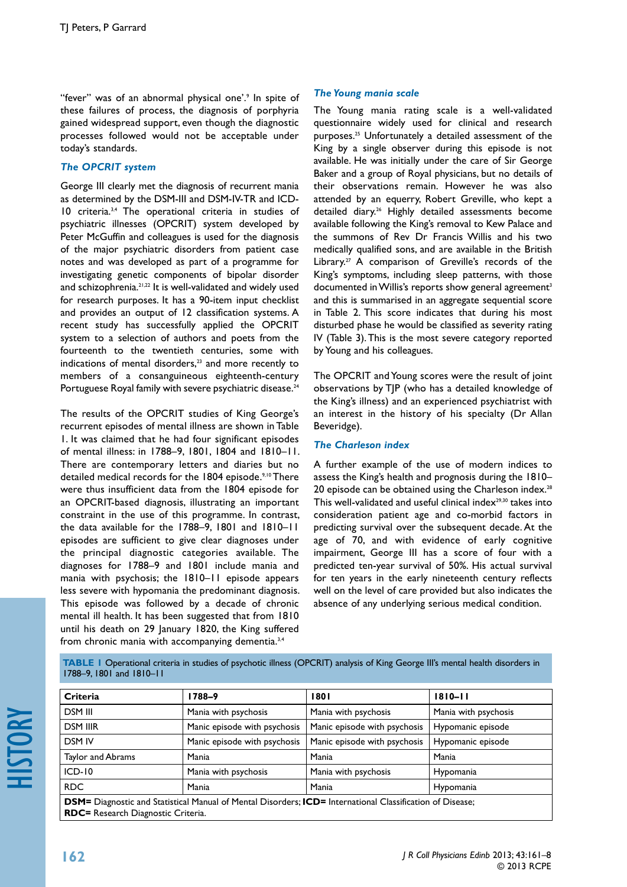"fever" was of an abnormal physical one'.<sup>9</sup> In spite of these failures of process, the diagnosis of porphyria gained widespread support, even though the diagnostic processes followed would not be acceptable under today's standards.

## *The OPCRIT system*

George III clearly met the diagnosis of recurrent mania as determined by the DSM-III and DSM-IV-TR and ICD-10 criteria.3,4 The operational criteria in studies of psychiatric illnesses (OPCRIT) system developed by Peter McGuffin and colleagues is used for the diagnosis of the major psychiatric disorders from patient case notes and was developed as part of a programme for investigating genetic components of bipolar disorder and schizophrenia.<sup>21,22</sup> It is well-validated and widely used for research purposes. It has a 90-item input checklist and provides an output of 12 classification systems. A recent study has successfully applied the OPCRIT system to a selection of authors and poets from the fourteenth to the twentieth centuries, some with indications of mental disorders,<sup>23</sup> and more recently to members of a consanguineous eighteenth-century Portuguese Royal family with severe psychiatric disease.<sup>24</sup>

The results of the OPCRIT studies of King George's recurrent episodes of mental illness are shown in Table 1. It was claimed that he had four significant episodes of mental illness: in 1788–9, 1801, 1804 and 1810–11. There are contemporary letters and diaries but no detailed medical records for the 1804 episode.<sup>9,10</sup> There were thus insufficient data from the 1804 episode for an OPCRIT-based diagnosis, illustrating an important constraint in the use of this programme. In contrast, the data available for the 1788–9, 1801 and 1810–11 episodes are sufficient to give clear diagnoses under the principal diagnostic categories available. The diagnoses for 1788–9 and 1801 include mania and mania with psychosis; the 1810–11 episode appears less severe with hypomania the predominant diagnosis. This episode was followed by a decade of chronic mental ill health. It has been suggested that from 1810 until his death on 29 January 1820, the King suffered from chronic mania with accompanying dementia.<sup>3,4</sup>

### *The Young mania scale*

The Young mania rating scale is a well-validated questionnaire widely used for clinical and research purposes.25 Unfortunately a detailed assessment of the King by a single observer during this episode is not available. He was initially under the care of Sir George Baker and a group of Royal physicians, but no details of their observations remain. However he was also attended by an equerry, Robert Greville, who kept a detailed diary.<sup>26</sup> Highly detailed assessments become available following the King's removal to Kew Palace and the summons of Rev Dr Francis Willis and his two medically qualified sons, and are available in the British Library.<sup>27</sup> A comparison of Greville's records of the King's symptoms, including sleep patterns, with those documented in Willis's reports show general agreement<sup>3</sup> and this is summarised in an aggregate sequential score in Table 2. This score indicates that during his most disturbed phase he would be classified as severity rating IV (Table 3). This is the most severe category reported by Young and his colleagues.

The OPCRIT and Young scores were the result of joint observations by TJP (who has a detailed knowledge of the King's illness) and an experienced psychiatrist with an interest in the history of his specialty (Dr Allan Beveridge).

## *The Charleson index*

A further example of the use of modern indices to assess the King's health and prognosis during the 1810– 20 episode can be obtained using the Charleson index.<sup>28</sup> This well-validated and useful clinical index $29,30$  takes into consideration patient age and co-morbid factors in predicting survival over the subsequent decade. At the age of 70, and with evidence of early cognitive impairment, George III has a score of four with a predicted ten-year survival of 50%. His actual survival for ten years in the early nineteenth century reflects well on the level of care provided but also indicates the absence of any underlying serious medical condition.

**table 1** Operational criteria in studies of psychotic illness (OPCRIT) analysis of King George III's mental health disorders in 1788–9, 1801 and 1810–11

| Criteria                                                                                                                | 1788–9                       | 1801                         | $1810 - 11$          |  |  |  |
|-------------------------------------------------------------------------------------------------------------------------|------------------------------|------------------------------|----------------------|--|--|--|
| DSM III                                                                                                                 | Mania with psychosis         | Mania with psychosis         | Mania with psychosis |  |  |  |
| <b>DSM IIIR</b>                                                                                                         | Manic episode with psychosis | Manic episode with psychosis | Hypomanic episode    |  |  |  |
| <b>DSM IV</b>                                                                                                           | Manic episode with psychosis | Manic episode with psychosis |                      |  |  |  |
| Taylor and Abrams                                                                                                       | Mania                        | Mania                        | Mania                |  |  |  |
| $ICD-10$                                                                                                                | Mania with psychosis         | Mania with psychosis         | Hypomania            |  |  |  |
| <b>RDC</b>                                                                                                              | Mania                        | Mania                        | Hypomania            |  |  |  |
| <b>DSM=</b> Diagnostic and Statistical Manual of Mental Disorders; <b>ICD=</b> International Classification of Disease; |                              |                              |                      |  |  |  |
| <b>RDC=</b> Research Diagnostic Criteria.                                                                               |                              |                              |                      |  |  |  |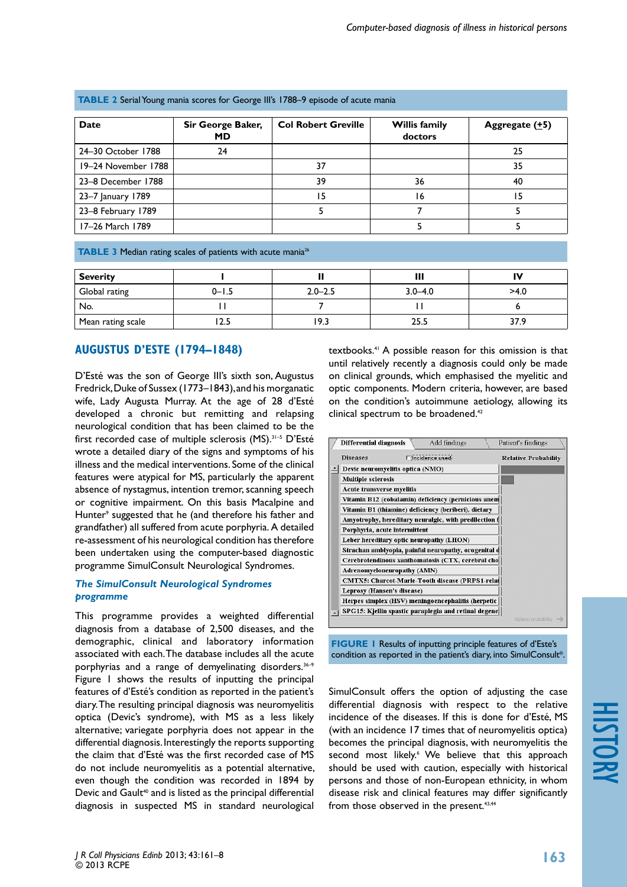| <b>Date</b>         | Sir George Baker,<br>MD | <b>Col Robert Greville</b> | <b>Willis family</b><br>doctors | Aggregate $(±5)$ |
|---------------------|-------------------------|----------------------------|---------------------------------|------------------|
| 24-30 October 1788  | 24                      |                            |                                 | 25               |
| 19-24 November 1788 |                         | 37                         |                                 | 35               |
| 23-8 December 1788  |                         | 39                         | 36                              | 40               |
| 23–7 January 1789   |                         | 15                         | 16                              | 15               |
| 23-8 February 1789  |                         |                            |                                 |                  |
| 17-26 March 1789    |                         |                            |                                 |                  |

#### **table 2** Serial Young mania scores for George III's 1788–9 episode of acute mania

**TABLE 3** Median rating scales of patients with acute mania<sup>26</sup>

| <b>Severity</b>   |           |             | Ш           | IV   |
|-------------------|-----------|-------------|-------------|------|
| Global rating     | $0 - 1.5$ | $2.0 - 2.5$ | $3.0 - 4.0$ | >4.0 |
| No.               |           |             |             |      |
| Mean rating scale | د.ء       | 5.9 '       | 25.5        |      |

## **AUGUSTUS D'ESTE (1794–1848)**

D'Esté was the son of George III's sixth son, Augustus Fredrick, Duke of Sussex (1773–1843), and his morganatic wife, Lady Augusta Murray. At the age of 28 d'Esté developed a chronic but remitting and relapsing neurological condition that has been claimed to be the first recorded case of multiple sclerosis (MS).31–5 D'Esté wrote a detailed diary of the signs and symptoms of his illness and the medical interventions. Some of the clinical features were atypical for MS, particularly the apparent absence of nystagmus, intention tremor, scanning speech or cognitive impairment. On this basis Macalpine and Hunter<sup>9</sup> suggested that he (and therefore his father and grandfather) all suffered from acute porphyria. A detailed re-assessment of his neurological condition has therefore been undertaken using the computer-based diagnostic programme SimulConsult Neurological Syndromes.

#### *The SimulConsult Neurological Syndromes programme*

This programme provides a weighted differential diagnosis from a database of 2,500 diseases, and the demographic, clinical and laboratory information associated with each. The database includes all the acute porphyrias and a range of demyelinating disorders.36–9 Figure 1 shows the results of inputting the principal features of d'Esté's condition as reported in the patient's diary. The resulting principal diagnosis was neuromyelitis optica (Devic's syndrome), with MS as a less likely alternative; variegate porphyria does not appear in the differential diagnosis. Interestingly the reports supporting the claim that d'Esté was the first recorded case of MS do not include neuromyelitis as a potential alternative, even though the condition was recorded in 1894 by Devic and Gault<sup>40</sup> and is listed as the principal differential diagnosis in suspected MS in standard neurological

textbooks.41 A possible reason for this omission is that until relatively recently a diagnosis could only be made on clinical grounds, which emphasised the myelitic and optic components. Modern criteria, however, are based on the condition's autoimmune aetiology, allowing its clinical spectrum to be broadened.<sup>42</sup>



**FIGURE 1** Results of inputting principle features of d'Este's condition as reported in the patient's diary, into SimulConsult®.

SimulConsult offers the option of adjusting the case differential diagnosis with respect to the relative incidence of the diseases. If this is done for d'Esté, MS (with an incidence 17 times that of neuromyelitis optica) becomes the principal diagnosis, with neuromyelitis the second most likely.<sup>6</sup> We believe that this approach should be used with caution, especially with historical persons and those of non-European ethnicity, in whom disease risk and clinical features may differ significantly from those observed in the present.<sup>43,44</sup>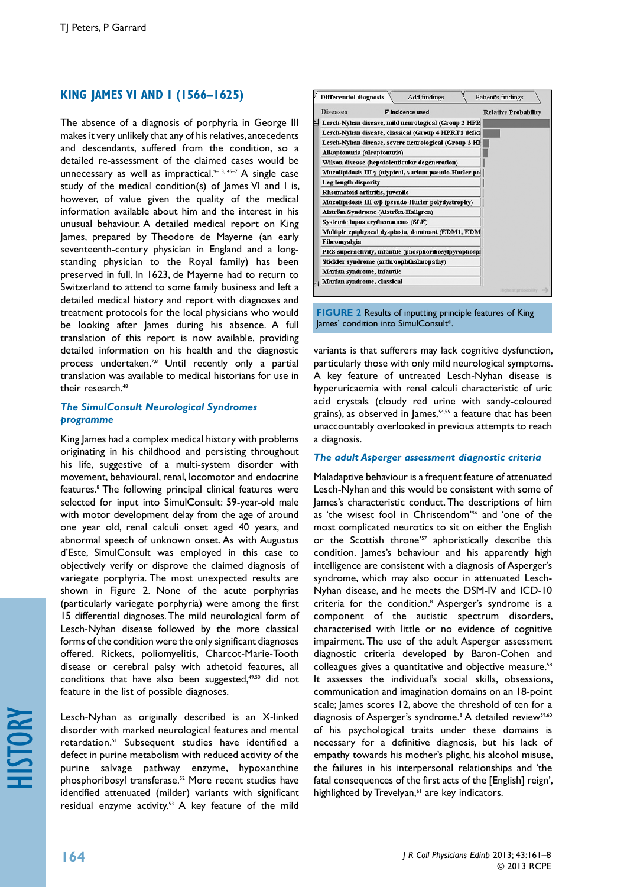## **KING JAMES VI AND I (1566–1625)**

The absence of a diagnosis of porphyria in George III makes it very unlikely that any of his relatives, antecedents and descendants, suffered from the condition, so a detailed re-assessment of the claimed cases would be unnecessary as well as impractical. $9-13$ ,  $45-7$  A single case study of the medical condition(s) of James VI and I is, however, of value given the quality of the medical information available about him and the interest in his unusual behaviour. A detailed medical report on King James, prepared by Theodore de Mayerne (an early seventeenth-century physician in England and a longstanding physician to the Royal family) has been preserved in full. In 1623, de Mayerne had to return to Switzerland to attend to some family business and left a detailed medical history and report with diagnoses and treatment protocols for the local physicians who would be looking after James during his absence. A full translation of this report is now available, providing detailed information on his health and the diagnostic process undertaken.<sup>7,8</sup> Until recently only a partial translation was available to medical historians for use in their research<sup>48</sup>

#### *The SimulConsult Neurological Syndromes programme*

King James had a complex medical history with problems originating in his childhood and persisting throughout his life, suggestive of a multi-system disorder with movement, behavioural, renal, locomotor and endocrine features.8 The following principal clinical features were selected for input into SimulConsult: 59-year-old male with motor development delay from the age of around one year old, renal calculi onset aged 40 years, and abnormal speech of unknown onset. As with Augustus d'Este, SimulConsult was employed in this case to objectively verify or disprove the claimed diagnosis of variegate porphyria. The most unexpected results are shown in Figure 2. None of the acute porphyrias (particularly variegate porphyria) were among the first 15 differential diagnoses. The mild neurological form of Lesch-Nyhan disease followed by the more classical forms of the condition were the only significant diagnoses offered. Rickets, poliomyelitis, Charcot-Marie-Tooth disease or cerebral palsy with athetoid features, all conditions that have also been suggested,<sup>49,50</sup> did not feature in the list of possible diagnoses.

Lesch-Nyhan as originally described is an X-linked disorder with marked neurological features and mental retardation.51 Subsequent studies have identified a defect in purine metabolism with reduced activity of the purine salvage pathway enzyme, hypoxanthine phosphoribosyl transferase.<sup>52</sup> More recent studies have identified attenuated (milder) variants with significant residual enzyme activity.<sup>53</sup> A key feature of the mild



**FIGURE 2** Results of inputting principle features of King James' condition into SimulConsult®.

variants is that sufferers may lack cognitive dysfunction, particularly those with only mild neurological symptoms. A key feature of untreated Lesch-Nyhan disease is hyperuricaemia with renal calculi characteristic of uric acid crystals (cloudy red urine with sandy-coloured grains), as observed in James,<sup>54,55</sup> a feature that has been unaccountably overlooked in previous attempts to reach a diagnosis.

#### *The adult Asperger assessment diagnostic criteria*

Maladaptive behaviour is a frequent feature of attenuated Lesch-Nyhan and this would be consistent with some of James's characteristic conduct. The descriptions of him as 'the wisest fool in Christendom'56 and 'one of the most complicated neurotics to sit on either the English or the Scottish throne'<sup>57</sup> aphoristically describe this condition. James's behaviour and his apparently high intelligence are consistent with a diagnosis of Asperger's syndrome, which may also occur in attenuated Lesch-Nyhan disease, and he meets the DSM-IV and ICD-10 criteria for the condition.<sup>8</sup> Asperger's syndrome is a component of the autistic spectrum disorders, characterised with little or no evidence of cognitive impairment. The use of the adult Asperger assessment diagnostic criteria developed by Baron-Cohen and colleagues gives a quantitative and objective measure.<sup>58</sup> It assesses the individual's social skills, obsessions, communication and imagination domains on an 18-point scale; James scores 12, above the threshold of ten for a diagnosis of Asperger's syndrome.<sup>8</sup> A detailed review<sup>59,60</sup> of his psychological traits under these domains is necessary for a definitive diagnosis, but his lack of empathy towards his mother's plight, his alcohol misuse, the failures in his interpersonal relationships and 'the fatal consequences of the first acts of the [English] reign', highlighted by Trevelyan,<sup>61</sup> are key indicators.

*J R Coll Physicians Edinb* 2013; 43:161–8

© 2013 RCPE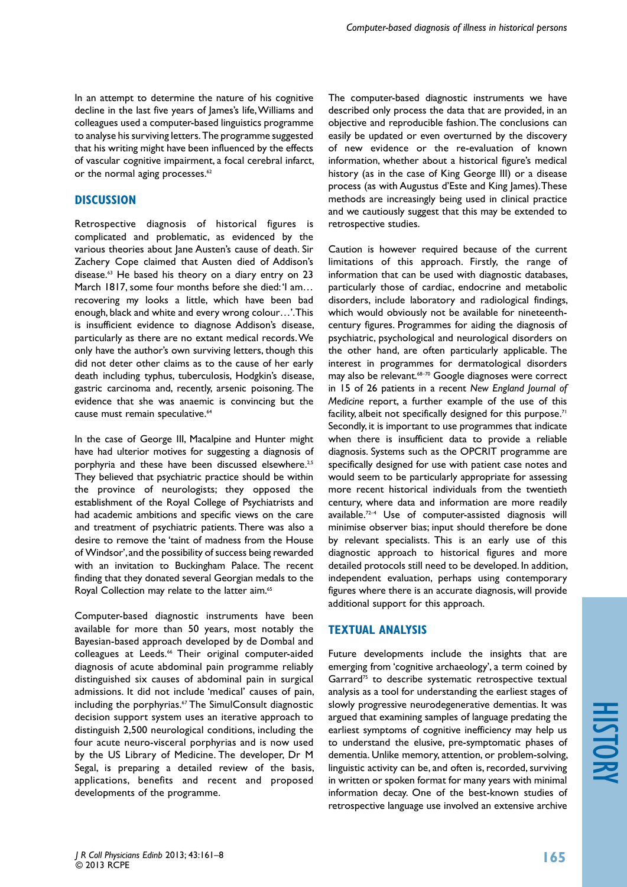In an attempt to determine the nature of his cognitive decline in the last five years of James's life, Williams and colleagues used a computer-based linguistics programme to analyse his surviving letters. The programme suggested that his writing might have been influenced by the effects of vascular cognitive impairment, a focal cerebral infarct, or the normal aging processes.<sup>62</sup>

## **DISCUSSION**

Retrospective diagnosis of historical figures is complicated and problematic, as evidenced by the various theories about Jane Austen's cause of death. Sir Zachery Cope claimed that Austen died of Addison's disease.63 He based his theory on a diary entry on 23 March 1817, some four months before she died: 'I am... recovering my looks a little, which have been bad enough, black and white and every wrong colour…'. This is insufficient evidence to diagnose Addison's disease, particularly as there are no extant medical records. We only have the author's own surviving letters, though this did not deter other claims as to the cause of her early death including typhus, tuberculosis, Hodgkin's disease, gastric carcinoma and, recently, arsenic poisoning. The evidence that she was anaemic is convincing but the cause must remain speculative.<sup>64</sup>

In the case of George III, Macalpine and Hunter might have had ulterior motives for suggesting a diagnosis of porphyria and these have been discussed elsewhere.<sup>2,5</sup> They believed that psychiatric practice should be within the province of neurologists; they opposed the establishment of the Royal College of Psychiatrists and had academic ambitions and specific views on the care and treatment of psychiatric patients. There was also a desire to remove the 'taint of madness from the House of Windsor', and the possibility of success being rewarded with an invitation to Buckingham Palace. The recent finding that they donated several Georgian medals to the Royal Collection may relate to the latter aim.<sup>65</sup>

Computer-based diagnostic instruments have been available for more than 50 years, most notably the Bayesian-based approach developed by de Dombal and colleagues at Leeds.<sup>66</sup> Their original computer-aided diagnosis of acute abdominal pain programme reliably distinguished six causes of abdominal pain in surgical admissions. It did not include 'medical' causes of pain, including the porphyrias.<sup>67</sup> The SimulConsult diagnostic decision support system uses an iterative approach to distinguish 2,500 neurological conditions, including the four acute neuro-visceral porphyrias and is now used by the US Library of Medicine. The developer, Dr M Segal, is preparing a detailed review of the basis, applications, benefits and recent and proposed developments of the programme.

The computer-based diagnostic instruments we have described only process the data that are provided, in an objective and reproducible fashion. The conclusions can easily be updated or even overturned by the discovery of new evidence or the re-evaluation of known information, whether about a historical figure's medical history (as in the case of King George III) or a disease process (as with Augustus d'Este and King James). These methods are increasingly being used in clinical practice and we cautiously suggest that this may be extended to retrospective studies.

Caution is however required because of the current limitations of this approach. Firstly, the range of information that can be used with diagnostic databases, particularly those of cardiac, endocrine and metabolic disorders, include laboratory and radiological findings, which would obviously not be available for nineteenthcentury figures. Programmes for aiding the diagnosis of psychiatric, psychological and neurological disorders on the other hand, are often particularly applicable. The interest in programmes for dermatological disorders may also be relevant.<sup>68-70</sup> Google diagnoses were correct in 15 of 26 patients in a recent *New England Journal of Medicine* report, a further example of the use of this facility, albeit not specifically designed for this purpose.<sup>71</sup> Secondly, it is important to use programmes that indicate when there is insufficient data to provide a reliable diagnosis. Systems such as the OPCRIT programme are specifically designed for use with patient case notes and would seem to be particularly appropriate for assessing more recent historical individuals from the twentieth century, where data and information are more readily available.72–4 Use of computer-assisted diagnosis will minimise observer bias; input should therefore be done by relevant specialists. This is an early use of this diagnostic approach to historical figures and more detailed protocols still need to be developed. In addition, independent evaluation, perhaps using contemporary figures where there is an accurate diagnosis, will provide additional support for this approach.

## **TEXTUAL ANALYSIS**

Future developments include the insights that are emerging from 'cognitive archaeology', a term coined by Garrard<sup>75</sup> to describe systematic retrospective textual analysis as a tool for understanding the earliest stages of slowly progressive neurodegenerative dementias. It was argued that examining samples of language predating the earliest symptoms of cognitive inefficiency may help us to understand the elusive, pre-symptomatic phases of dementia. Unlike memory, attention, or problem-solving, linguistic activity can be, and often is, recorded, surviving in written or spoken format for many years with minimal information decay. One of the best-known studies of retrospective language use involved an extensive archive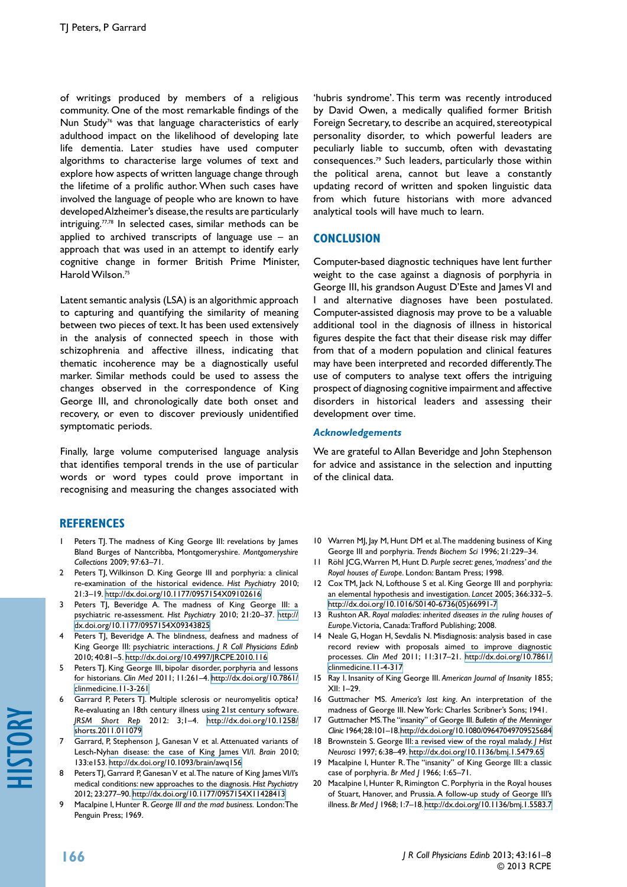of writings produced by members of a religious community. One of the most remarkable findings of the Nun Study<sup>76</sup> was that language characteristics of early adulthood impact on the likelihood of developing late life dementia. Later studies have used computer algorithms to characterise large volumes of text and explore how aspects of written language change through the lifetime of a prolific author. When such cases have involved the language of people who are known to have developed Alzheimer's disease, the results are particularly intriguing.77,78 In selected cases, similar methods can be applied to archived transcripts of language use  $-$  an approach that was used in an attempt to identify early cognitive change in former British Prime Minister, Harold Wilson.<sup>75</sup>

Latent semantic analysis (LSA) is an algorithmic approach to capturing and quantifying the similarity of meaning between two pieces of text. It has been used extensively in the analysis of connected speech in those with schizophrenia and affective illness, indicating that thematic incoherence may be a diagnostically useful marker. Similar methods could be used to assess the changes observed in the correspondence of King George III, and chronologically date both onset and recovery, or even to discover previously unidentified symptomatic periods.

Finally, large volume computerised language analysis that identifies temporal trends in the use of particular words or word types could prove important in recognising and measuring the changes associated with

## **REFERENCES**

- 1 Peters TJ. The madness of King George III: revelations by James Bland Burges of Nantcribba, Montgomeryshire. *Montgomeryshire Collections* 2009; 97:63–71.
- 2 Peters TJ, Wilkinson D. King George III and porphyria: a clinical re-examination of the historical evidence. *Hist Psychiatry* 2010; 21:3–19. <http://dx.doi.org/10.1177/0957154X09102616>
- 3 Peters TJ, Beveridge A. The madness of King George III: a psychiatric re-assessment. *Hist Psychiatry* 2010; 21:20–37. [http://](http://dx.doi.org/10.1177/0957154X09343825) [dx.doi.org/10.1177/0957154X09343825](http://dx.doi.org/10.1177/0957154X09343825)
- Peters TJ, Beveridge A. The blindness, deafness and madness of King George III: psychiatric interactions. *J R Coll Physicians Edinb* 2010; 40:81–5. <http://dx.doi.org/10.4997/JRCPE.2010.116>
- Peters TJ. King George III, bipolar disorder, porphyria and lessons for historians. *Clin Med* 2011; 11:261–4. [http://dx.doi.org/10.7861/](http://dx.doi.org/10.7861/clinmedicine.11-3-261) [clinmedicine.11-3-261](http://dx.doi.org/10.7861/clinmedicine.11-3-261)
- Garrard P, Peters TJ. Multiple sclerosis or neuromyelitis optica? Re-evaluating an 18th century illness using 21st century software. *JRSM Short Rep* 2012: 3;1–4. [http://dx.doi.org/10.1258/](http://dx.doi.org/10.1258/shorts.2011.011079) [shorts.2011.011079](http://dx.doi.org/10.1258/shorts.2011.011079)
- 7 Garrard, P, Stephenson J, Ganesan V et al. Attenuated variants of Lesch-Nyhan disease: the case of King James VI/I. *Brain* 2010; 133:e153. <http://dx.doi.org/10.1093/brain/awq156>
- Peters TJ, Garrard P, Ganesan V et al. The nature of King James VI/I's medical conditions: new approaches to the diagnosis. *Hist Psychiatry* 2012; 23:277–90. <http://dx.doi.org/10.1177/0957154X11428413>
- 9 Macalpine I, Hunter R. *George III and the mad business.* London: The Penguin Press; 1969.

'hubris syndrome'. This term was recently introduced by David Owen, a medically qualified former British Foreign Secretary, to describe an acquired, stereotypical personality disorder, to which powerful leaders are peculiarly liable to succumb, often with devastating consequences.79 Such leaders, particularly those within the political arena, cannot but leave a constantly updating record of written and spoken linguistic data from which future historians with more advanced analytical tools will have much to learn.

## **CONCLUSION**

Computer-based diagnostic techniques have lent further weight to the case against a diagnosis of porphyria in George III, his grandson August D'Este and James VI and I and alternative diagnoses have been postulated. Computer-assisted diagnosis may prove to be a valuable additional tool in the diagnosis of illness in historical figures despite the fact that their disease risk may differ from that of a modern population and clinical features may have been interpreted and recorded differently. The use of computers to analyse text offers the intriguing prospect of diagnosing cognitive impairment and affective disorders in historical leaders and assessing their development over time.

#### *Acknowledgements*

We are grateful to Allan Beveridge and John Stephenson for advice and assistance in the selection and inputting of the clinical data.

- 10 Warren MJ, Jay M, Hunt DM et al. The maddening business of King George III and porphyria. *Trends Biochem Sci* 1996; 21:229–34.
- 11 Röhl JCG, Warren M, Hunt D. *Purple secret: genes, 'madness' and the Royal houses of Europe*. London: Bantam Press; 1998.
- 12 Cox TM, Jack N, Lofthouse S et al. King George III and porphyria: an elemental hypothesis and investigation. *Lancet* 2005; 366:332–5. [http://dx.doi.org/10.1016/S0140-6736\(05\)66991-7](http://dx.doi.org/10.1016/S0140-6736(05)66991-7)
- 13 Rushton AR. *Royal maladies: inherited diseases in the ruling houses of Europe*. Victoria, Canada: Trafford Publishing; 2008.
- 14 Neale G, Hogan H, Sevdalis N. Misdiagnosis: analysis based in case record review with proposals aimed to improve diagnostic processes. *Clin Med* 2011; 11:317–21. [http://dx.doi.org/10.7861/](http://dx.doi.org/10.7861/clinmedicine.11-4-317) [clinmedicine.11-4-317](http://dx.doi.org/10.7861/clinmedicine.11-4-317)
- 15 Ray I. Insanity of King George III. *American Journal of Insanity* 1855; XII: 1–29.
- 16 Guttmacher MS. *America's last king*. An interpretation of the madness of George III. New York: Charles Scribner's Sons; 1941.
- 17 Guttmacher MS. The "insanity" of George III. *Bulletin of the Menninger Clinic* 1964; 28:101–18. [http://dx.doi.org/10.1080/09647049709525684](http://dx.doi.org/10.1080/09647049709525684
)
- 18 Brownstein S. George III: a revised view of the royal malady. *J Hist Neurosci* 1997; 6:38–49. <http://dx.doi.org/10.1136/bmj.1.5479.65>
- Macalpine I, Hunter R. The "insanity" of King George III: a classic case of porphyria. *Br Med J* 1966; 1:65–71.
- 20 Macalpine I, Hunter R, Rimington C. Porphyria in the Royal houses of Stuart, Hanover, and Prussia. A follow-up study of George III's illness. *Br Med J* 1968; 1:7–18.<http://dx.doi.org/10.1136/bmj.1.5583.7>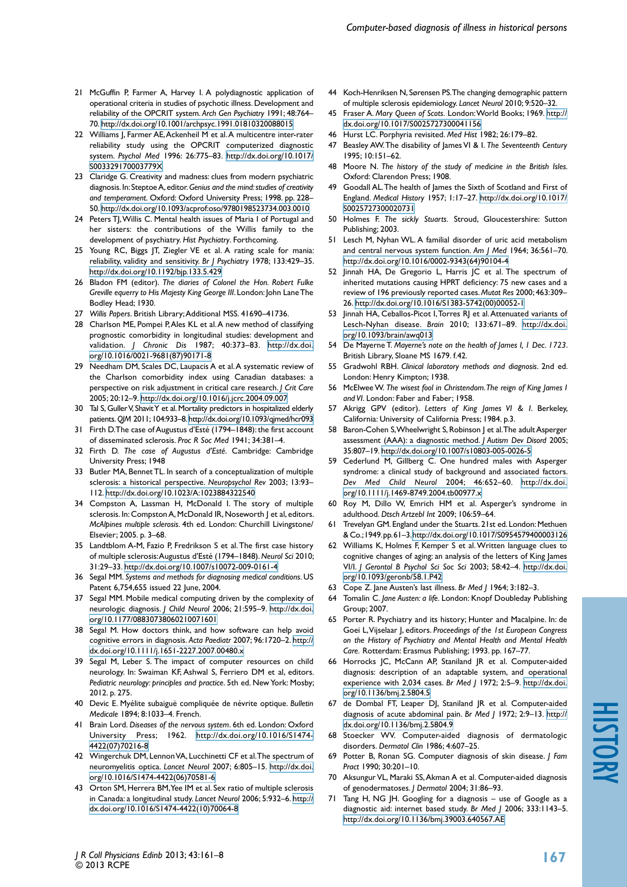- 21 McGuffin P, Farmer A, Harvey I. A polydiagnostic application of operational criteria in studies of psychotic illness. Development and reliability of the OPCRIT system. *Arch Gen Psychiatry* 1991; 48:764– 70. <http://dx.doi.org/10.1001/archpsyc.1991.01810320088015>
- 22 Williams J, Farmer AE, Ackenheil M et al. A multicentre inter-rater reliability study using the OPCRIT computerized diagnostic system. *Psychol Med* 1996: 26:775–83. [http://dx.doi.org/10.1017/](http://dx.doi.org/10.1017/S003329170003779X) [S003329170003779X](http://dx.doi.org/10.1017/S003329170003779X)
- 23 Claridge G. Creativity and madness: clues from modern psychiatric diagnosis. In: Steptoe A, editor. *Genius and the mind: studies of creativity and temperament*. Oxford: Oxford University Press; 1998. pp. 228– 50. <http://dx.doi.org/10.1093/acprof:oso/9780198523734.003.0010>
- 24 Peters TJ, Willis C. Mental health issues of Maria I of Portugal and her sisters: the contributions of the Willis family to the development of psychiatry. *Hist Psychiatry*. Forthcoming.
- 25 Young RC, Biggs JT, Ziegler VE et al. A rating scale for mania: reliability, validity and sensitivity. *Br J Psychiatry* 1978; 133:429–35. <http://dx.doi.org/10.1192/bjp.133.5.429>
- 26 Bladon FM (editor). *The diaries of Colonel the Hon. Robert Fulke Greville equerry to His Majesty King George III*. London: John Lane The Bodley Head; 1930.
- 27 *Willis Papers*. British Library; Additional MSS. 41690–41736.
- 28 Charlson ME, Pompei P, Ales KL et al. A new method of classifying prognostic comorbidity in longitudinal studies: development and validation. *J Chronic Dis* 1987; 40:373–83. [http://dx.doi.](http://dx.doi.org/10.1016/0021-9681(87)90171-8) [org/10.1016/0021-9681\(87\)90171-8](http://dx.doi.org/10.1016/0021-9681(87)90171-8)
- 29 Needham DM, Scales DC, Laupacis A et al. A systematic review of the Charlson comorbidity index using Canadian databases: a perspective on risk adjustment in critical care research. *J Crit Care* 2005; 20:12–9. <http://dx.doi.org/10.1016/j.jcrc.2004.09.007>
- 30 Tal S, Guller V, Shavit Y et al. Mortality predictors in hospitalized elderly patients. *QJM* 2011; 104:933–8.<http://dx.doi.org/10.1093/qjmed/hcr093>
- 31 Firth D. The case of Augustus d'Esté (1794-1848): the first account of disseminated sclerosis. *Proc R Soc Med* 1941; 34:381–4.
- 32 Firth D. *The case of Augustus d'Esté*. Cambridge: Cambridge University Press; 1948
- 33 Butler MA, Bennet TL. In search of a conceptualization of multiple sclerosis: a historical perspective. *Neuropsychol Rev* 2003; 13:93– 112.<http://dx.doi.org/10.1023/A:1023884322540>
- 34 Compston A, Lassman H, McDonald I. The story of multiple sclerosis. In: Compston A, McDonald IR, Noseworth | et al, editors. *McAlpines multiple sclerosis*. 4th ed. London: Churchill Livingstone/ Elsevier; 2005. p. 3–68.
- 35 Landtblom A-M, Fazio P, Fredrikson S et al. The first case history of multiple sclerosis: Augustus d'Esté (1794–1848). *Neurol Sci* 2010; 31:29–33. <http://dx.doi.org/10.1007/s10072-009-0161-4>
- 36 Segal MM. *Systems and methods for diagnosing medical conditions*. US Patent 6,754,655 issued 22 June, 2004.
- 37 Segal MM. Mobile medical computing driven by the complexity of neurologic diagnosis. *J Child Neurol* 2006; 21:595–9. [http://dx.doi.](http://dx.doi.org/10.1177/08830738060210071601) [org/10.1177/08830738060210071601](http://dx.doi.org/10.1177/08830738060210071601)
- 38 Segal M. How doctors think, and how software can help avoid cognitive errors in diagnosis. *Acta Paediatr* 2007; 96:1720–2. [http://](http://dx.doi.org/10.1111/j.1651-2227.2007.00480.x) [dx.doi.org/10.1111/j.1651-2227.2007.00480.x](http://dx.doi.org/10.1111/j.1651-2227.2007.00480.x)
- 39 Segal M, Leber S. The impact of computer resources on child neurology. In: Swaiman KF, Ashwal S, Ferriero DM et al, editors. *Pediatric neurology: principles and practice*. 5th ed. New York: Mosby; 2012. p. 275.
- 40 Devic E. Myélite subaiguë compliquée de névrite optique. *Bulletin Medicale* 1894; 8:1033–4. French.
- 41 Brain Lord. *Diseases of the nervous system*. 6th ed. London: Oxford University Press; 1962. [http://dx.doi.org/10.1016/S1474-](http://dx.doi.org/10.1016/S1474-4422(07)70216-8) [4422\(07\)70216-8](http://dx.doi.org/10.1016/S1474-4422(07)70216-8)
- 42 Wingerchuk DM, Lennon VA, Lucchinetti CF et al. The spectrum of neuromyelitis optica. *Lancet Neurol* 2007; 6:805–15. [http://dx.doi.](http://dx.doi.org/10.1016/S1474-4422(06)70581-6) [org/10.1016/S1474-4422\(06\)70581-6](http://dx.doi.org/10.1016/S1474-4422(06)70581-6)
- 43 Orton SM, Herrera BM, Yee IM et al. Sex ratio of multiple sclerosis in Canada: a longitudinal study. *Lancet Neurol* 2006; 5:932–6. [http://](http://dx.doi.org/10.1016/S1474-4422(10)70064-8) [dx.doi.org/10.1016/S1474-4422\(10\)70064-8](http://dx.doi.org/10.1016/S1474-4422(10)70064-8)
- 44 Koch-Henriksen N, Sørensen PS. The changing demographic pattern of multiple sclerosis epidemiology. *Lancet Neurol* 2010; 9:520–32.
- 45 Fraser A. *Mary Queen of Scots.* London: World Books; 1969. [http://](http://dx.doi.org/10.1017/S0025727300041156) [dx.doi.org/10.1017/S0025727300041156](http://dx.doi.org/10.1017/S0025727300041156)
- 46 Hurst LC. Porphyria revisited. *Med Hist* 1982; 26:179–82.
- 47 Beasley AW. The disability of James VI & I. *The Seventeenth Century* 1995; 10:151–62.
- 48 Moore N. *The history of the study of medicine in the British Isles.*  Oxford: Clarendon Press; 1908.
- 49 Goodall AL. The health of James the Sixth of Scotland and First of England. *Medical History* 1957; 1:17–27. [http://dx.doi.org/10.1017/](http://dx.doi.org/10.1017/S0025727300020731) [S0025727300020731](http://dx.doi.org/10.1017/S0025727300020731)
- 50 Holmes F. *The sickly Stuarts.* Stroud, Gloucestershire: Sutton Publishing; 2003.
- 51 Lesch M, Nyhan WL. A familial disorder of uric acid metabolism and central nervous system function. *Am J Med* 1964; 36:561–70. [http://dx.doi.org/10.1016/0002-9343\(64\)90104-4](http://dx.doi.org/10.1016/0002-9343(64)90104-4)
- 52 Jinnah HA, De Gregorio L, Harris JC et al. The spectrum of inherited mutations causing HPRT deficiency: 75 new cases and a review of 196 previously reported cases. *Mutat Res* 2000; 463:309– 26. [http://dx.doi.org/10.1016/S1383-5742\(00\)00052-1](http://dx.doi.org/10.1016/S1383-5742(00)00052-1)
- 53 Jinnah HA, Ceballos-Picot J. Torres RJ et al. Attenuated variants of Lesch-Nyhan disease. *Brain* 2010; 133:671–89. [http://dx.doi.](http://dx.doi.org/10.1093/brain/awq013) [org/10.1093/brain/awq013](http://dx.doi.org/10.1093/brain/awq013)
- 54 De Mayerne T. *Mayerne's note on the health of James I, 1 Dec. 1723*. British Library, Sloane MS 1679. f.42.
- 55 Gradwohl RBH. *Clinical laboratory methods and diagnosis*. 2nd ed. London: Henry Kimpton; 1938.
- 56 McElwee W. *The wisest fool in Christendom. The reign of King James I and VI*. London: Faber and Faber; 1958.
- 57 Akrigg GPV (editor). *Letters of King James VI & I*. Berkeley, California: University of California Press; 1984. p.3.
- 58 Baron-Cohen S, Wheelwright S, Robinson J et al. The adult Asperger assessment (AAA): a diagnostic method. *J Autism Dev Disord* 2005; 35:807–19.<http://dx.doi.org/10.1007/s10803-005-0026-5>
- 59 Cederlund M, Gillberg C. One hundred males with Asperger syndrome: a clinical study of background and associated factors. *Dev Med Child Neurol* 2004; 46:652–60. [http://dx.doi.](http://dx.doi.org/10.1111/j.1469-8749.2004.tb00977.x) [org/10.1111/j.1469-8749.2004.tb00977.x](http://dx.doi.org/10.1111/j.1469-8749.2004.tb00977.x)
- 60 Roy M, Dillo W, Emrich HM et al. Asperger's syndrome in adulthood. *Dtsch Artzebl Int* 2009; 106:59–64.
- Trevelyan GM. England under the Stuarts. 21st ed. London: Methuen & Co.; 1949. pp. 61–3.<http://dx.doi.org/10.1017/S0954579400003126>
- 62 Williams K, Holmes F, Kemper S et al. Written language clues to cognitive changes of aging: an analysis of the letters of King James VI/I. *J Gerontol B Psychol Sci Soc Sci* 2003; 58:42–4. [http://dx.doi.](http://dx.doi.org/10.1093/geronb/58.1.P42) [org/10.1093/geronb/58.1.P42](http://dx.doi.org/10.1093/geronb/58.1.P42)
- 63 Cope Z. Jane Austen's last illness. *Br Med J* 1964; 3:182–3.
- 64 Tomalin C. *Jane Austen: a life*. London: Knopf Doubleday Publishing Group; 2007.
- 65 Porter R. Psychiatry and its history; Hunter and Macalpine. In: de Goei L, Vijselaar J, editors. *Proceedings of the 1st European Congress on the History of Psychiatry and Mental Health and Mental Health Care.* Rotterdam: Erasmus Publishing; 1993. pp. 167–77.
- 66 Horrocks JC, McCann AP, Staniland JR et al. Computer-aided diagnosis: description of an adaptable system, and operational experience with 2,034 cases. *Br Med J* 1972; 2:5–9. [http://dx.doi.](http://dx.doi.org/10.1136/bmj.2.5804.5) [org/10.1136/bmj.2.5804.5](http://dx.doi.org/10.1136/bmj.2.5804.5)
- 67 de Dombal FT, Leaper DJ, Staniland JR et al. Computer-aided diagnosis of acute abdominal pain. *Br Med J* 1972; 2:9–13. [http://](http://dx.doi.org/10.1136/bmj.2.5804.9) [dx.doi.org/10.1136/bmj.2.5804.9](http://dx.doi.org/10.1136/bmj.2.5804.9)
- 68 Stoecker WV. Computer-aided diagnosis of dermatologic disorders. *Dermatol Clin* 1986; 4:607–25.
- 69 Potter B, Ronan SG. Computer diagnosis of skin disease. *J Fam Pract* 1990; 30:201–10.
- Aksungur VL, Maraki SS, Akman A et al. Computer-aided diagnosis of genodermatoses. *J Dermatol* 2004; 31:86–93.
- 71 Tang H, NG JH. Googling for a diagnosis use of Google as a diagnostic aid: internet based study. *Br Med J* 2006; 333:1143–5. <http://dx.doi.org/10.1136/bmj.39003.640567.AE>